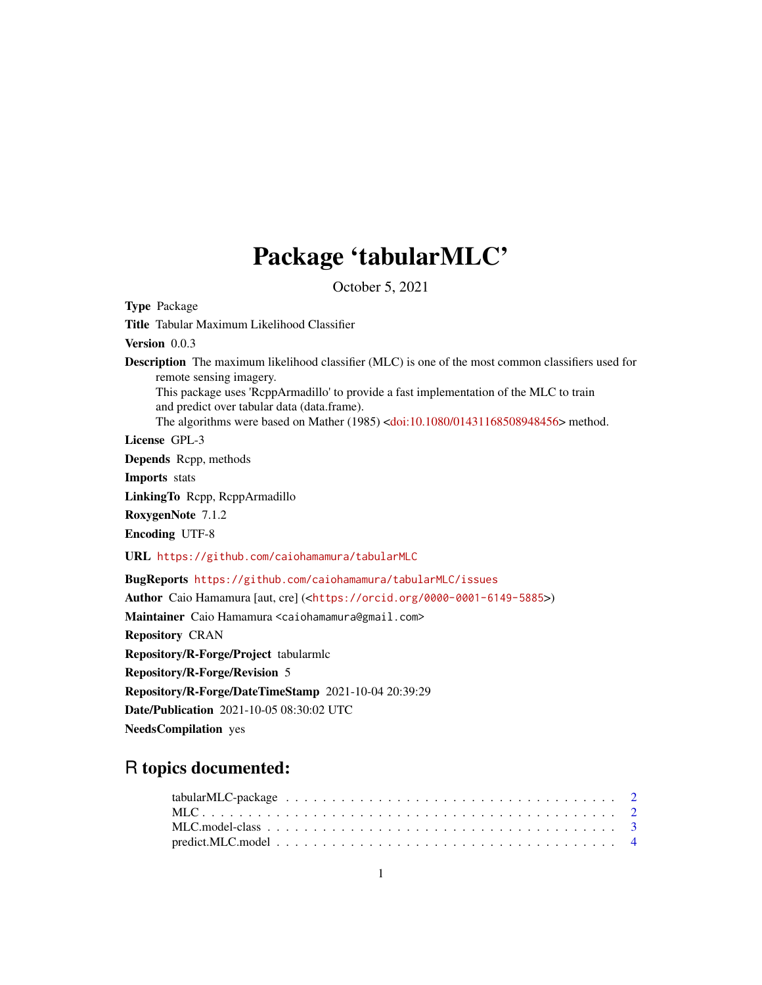# Package 'tabularMLC'

October 5, 2021

<span id="page-0-0"></span>Type Package Title Tabular Maximum Likelihood Classifier Version 0.0.3 Description The maximum likelihood classifier (MLC) is one of the most common classifiers used for remote sensing imagery. This package uses 'RcppArmadillo' to provide a fast implementation of the MLC to train and predict over tabular data (data.frame). The algorithms were based on Mather (1985) [<doi:10.1080/01431168508948456>](https://doi.org/10.1080/01431168508948456) method. License GPL-3 Depends Rcpp, methods Imports stats LinkingTo Rcpp, RcppArmadillo RoxygenNote 7.1.2 Encoding UTF-8 URL <https://github.com/caiohamamura/tabularMLC> BugReports <https://github.com/caiohamamura/tabularMLC/issues> Author Caio Hamamura [aut, cre] (<<https://orcid.org/0000-0001-6149-5885>>) Maintainer Caio Hamamura <caiohamamura@gmail.com> Repository CRAN Repository/R-Forge/Project tabularmlc Repository/R-Forge/Revision 5 Repository/R-Forge/DateTimeStamp 2021-10-04 20:39:29 Date/Publication 2021-10-05 08:30:02 UTC NeedsCompilation yes R topics documented: tabularMLC-package . . . . . . . . . . . . . . . . . . . . . . . . . . . . . . . . . . . . [2](#page-1-0)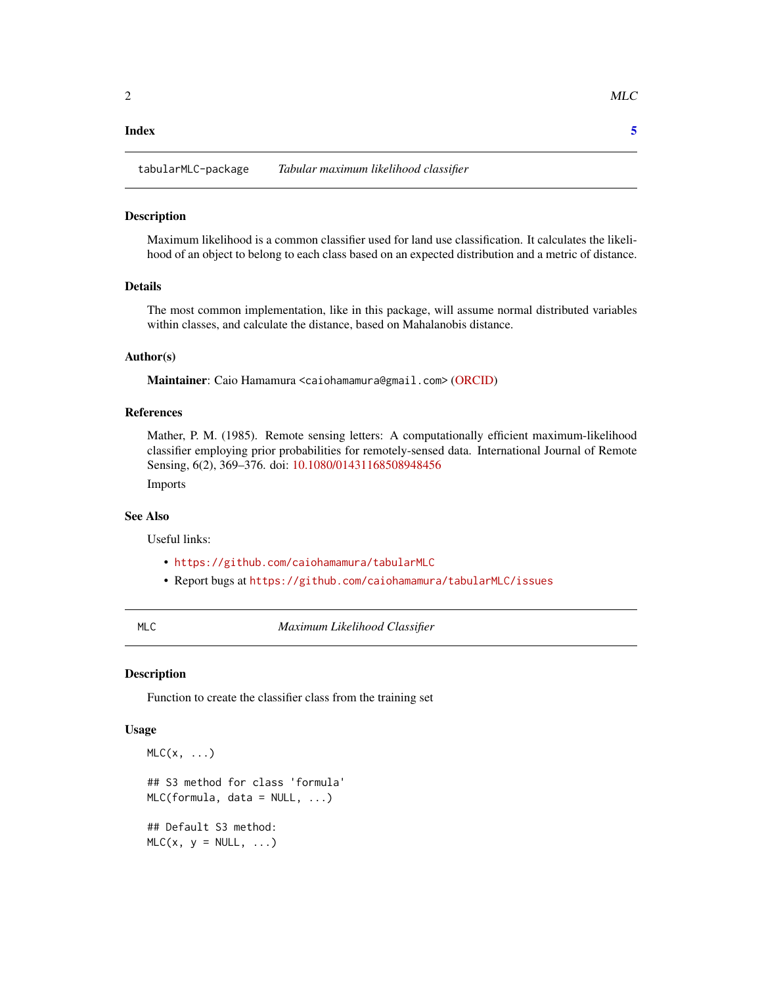#### <span id="page-1-0"></span>**Index** [5](#page-4-0). The second state of the second state of the second state of the second state of the second state of the second state of the second state of the second state of the second state of the second state of the second

#### Description

Maximum likelihood is a common classifier used for land use classification. It calculates the likelihood of an object to belong to each class based on an expected distribution and a metric of distance.

## Details

The most common implementation, like in this package, will assume normal distributed variables within classes, and calculate the distance, based on Mahalanobis distance.

### Author(s)

Maintainer: Caio Hamamura <caiohamamura@gmail.com> [\(ORCID\)](https://orcid.org/0000-0001-6149-5885)

#### References

Mather, P. M. (1985). Remote sensing letters: A computationally efficient maximum-likelihood classifier employing prior probabilities for remotely-sensed data. International Journal of Remote Sensing, 6(2), 369–376. doi: [10.1080/01431168508948456](https://doi.org/10.1080/01431168508948456)

Imports

#### See Also

Useful links:

- <https://github.com/caiohamamura/tabularMLC>
- Report bugs at <https://github.com/caiohamamura/tabularMLC/issues>

<span id="page-1-1"></span>MLC *Maximum Likelihood Classifier*

#### Description

Function to create the classifier class from the training set

#### Usage

```
MLC(x, \ldots)## S3 method for class 'formula'
MLC(formula, data = NULL, \ldots)
## Default S3 method:
MLC(x, y = NULL, ...)
```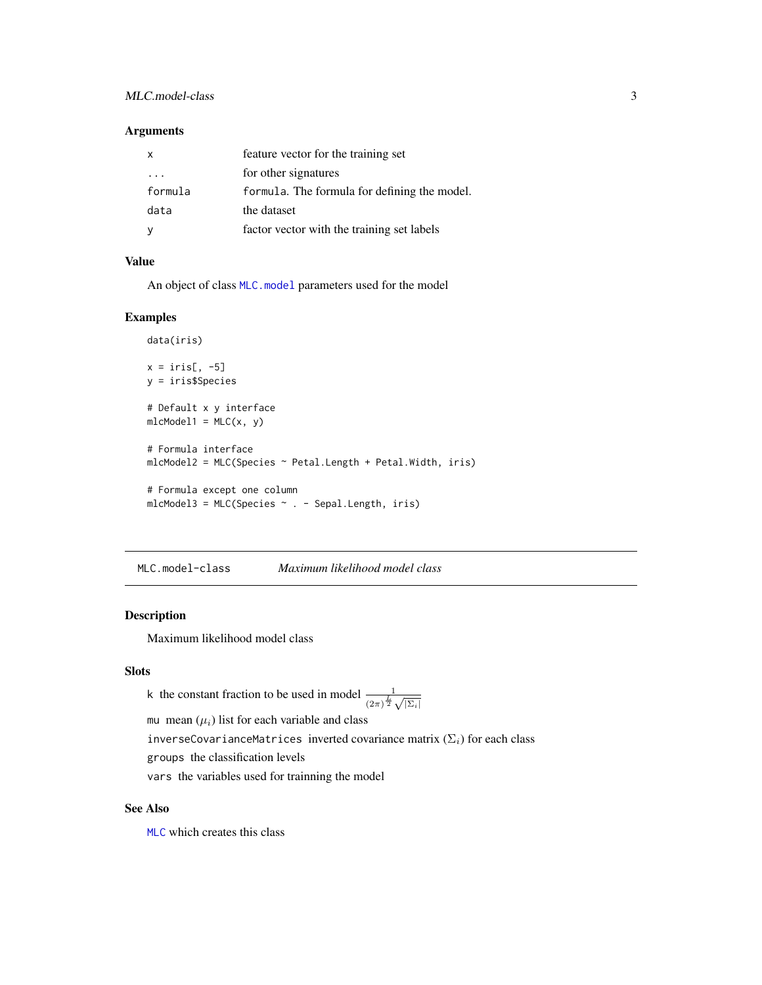# <span id="page-2-0"></span>MLC.model-class 3

# Arguments

| $\mathsf{x}$ | feature vector for the training set          |
|--------------|----------------------------------------------|
| $\cdots$     | for other signatures                         |
| formula      | formula. The formula for defining the model. |
| data         | the dataset                                  |
|              | factor vector with the training set labels   |

# Value

An object of class MLC. model parameters used for the model

#### Examples

```
data(iris)
x = \text{iris}[, -5]y = iris$Species
# Default x y interface
mlcModel1 = MLC(x, y)# Formula interface
mlcModel2 = MLC(Species \sim Petal.Length + Petal.Width, iris)
# Formula except one column
mlcModel3 = MLC(Species ~ . - Sepal.Length, iris)
```
<span id="page-2-1"></span>MLC.model-class *Maximum likelihood model class*

# Description

Maximum likelihood model class

#### Slots

k the constant fraction to be used in model  $\frac{1}{(2\pi)^{\frac{L}{2}}\sqrt{|\Sigma_i|}}$ 

mu mean  $(\mu_i)$  list for each variable and class

inverseCovarianceMatrices inverted covariance matrix  $(\Sigma_i)$  for each class

groups the classification levels

vars the variables used for trainning the model

# See Also

[MLC](#page-1-1) which creates this class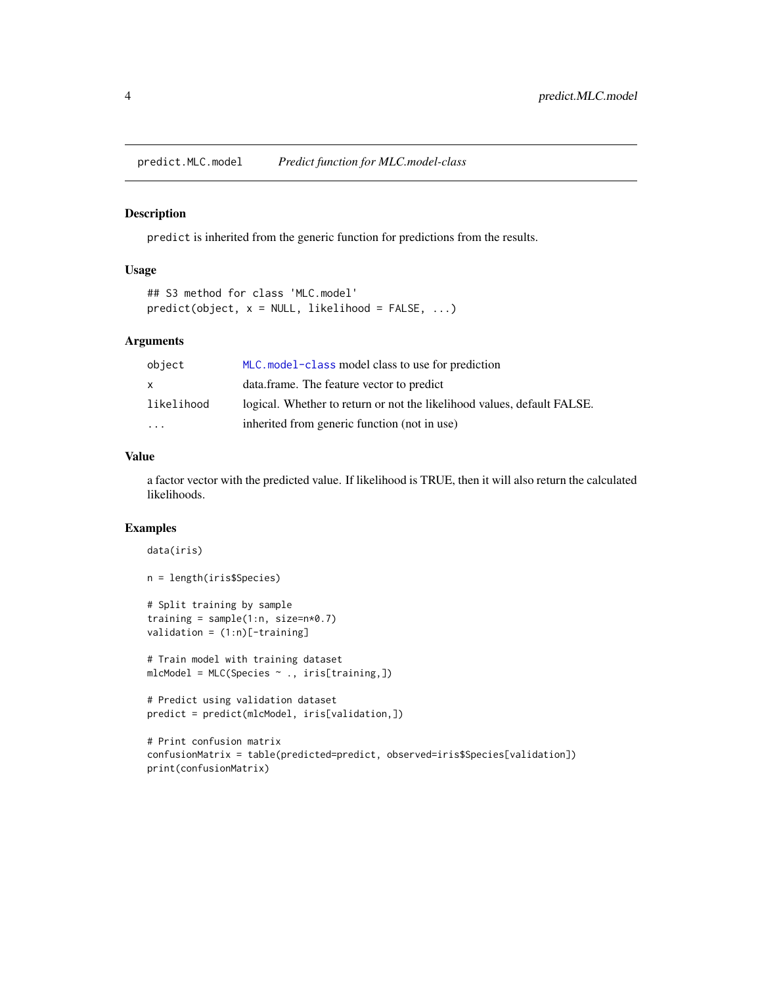<span id="page-3-0"></span>predict.MLC.model *Predict function for MLC.model-class*

#### Description

predict is inherited from the generic function for predictions from the results.

#### Usage

```
## S3 method for class 'MLC.model'
predict(object, x = NULL, likelihood = FALSE, ...)
```
# Arguments

| object                  | MLC, model-class model class to use for prediction                      |
|-------------------------|-------------------------------------------------------------------------|
| $\mathsf{x}$            | data.frame. The feature vector to predict                               |
| likelihood              | logical. Whether to return or not the likelihood values, default FALSE. |
| $\cdot$ $\cdot$ $\cdot$ | inherited from generic function (not in use)                            |

#### Value

a factor vector with the predicted value. If likelihood is TRUE, then it will also return the calculated likelihoods.

# Examples

print(confusionMatrix)

```
data(iris)
n = length(iris$Species)
# Split training by sample
training = sample(1:n, size=n*0.7)validation = (1:n)[-\text{training}]# Train model with training dataset
mlcModel = MLC(Species ~ ~ ., iris[training,])# Predict using validation dataset
predict = predict(mlcModel, iris[validation,])
# Print confusion matrix
confusionMatrix = table(predicted=predict, observed=iris$Species[validation])
```